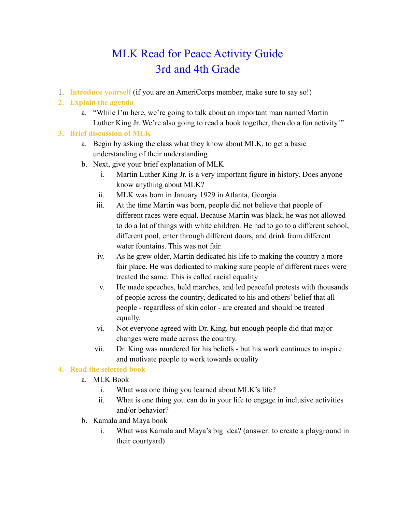# MLK Read for Peace Activity Guide 3rd and 4th Grade

1. **Introduce yourself** (if you are an AmeriCorps member, make sure to say so!)

# **2. Explain the agenda**

a. "While I'm here, we're going to talk about an important man named Martin Luther King Jr. We're also going to read a book together, then do a fun activity!"

# **3. Brief discussion of MLK**

- a. Begin by asking the class what they know about MLK, to get a basic understanding of their understanding
- b. Next, give your brief explanation of MLK
	- i. Martin Luther King Jr. is a very important figure in history. Does anyone know anything about MLK?
	- ii. MLK was born in January 1929 in Atlanta, Georgia
	- iii. At the time Martin was born, people did not believe that people of different races were equal. Because Martin was black, he was not allowed to do a lot of things with white children. He had to go to a different school, different pool, enter through different doors, and drink from different water fountains. This was not fair.
	- iv. As he grew older, Martin dedicated his life to making the country a more fair place. He was dedicated to making sure people of different races were treated the same. This is called racial equality
	- v. He made speeches, held marches, and led peaceful protests with thousands of people across the country, dedicated to his and others' belief that all people - regardless of skin color - are created and should be treated equally.
	- vi. Not everyone agreed with Dr. King, but enough people did that major changes were made across the country.
	- vii. Dr. King was murdered for his beliefs but his work continues to inspire and motivate people to work towards equality

### **4. Read the selected book**

- a. MLK Book
	- i. What was one thing you learned about MLK's life?
	- ii. What is one thing you can do in your life to engage in inclusive activities and/or behavior?
- b. Kamala and Maya book
	- i. What was Kamala and Maya's big idea? (answer: to create a playground in their courtyard)